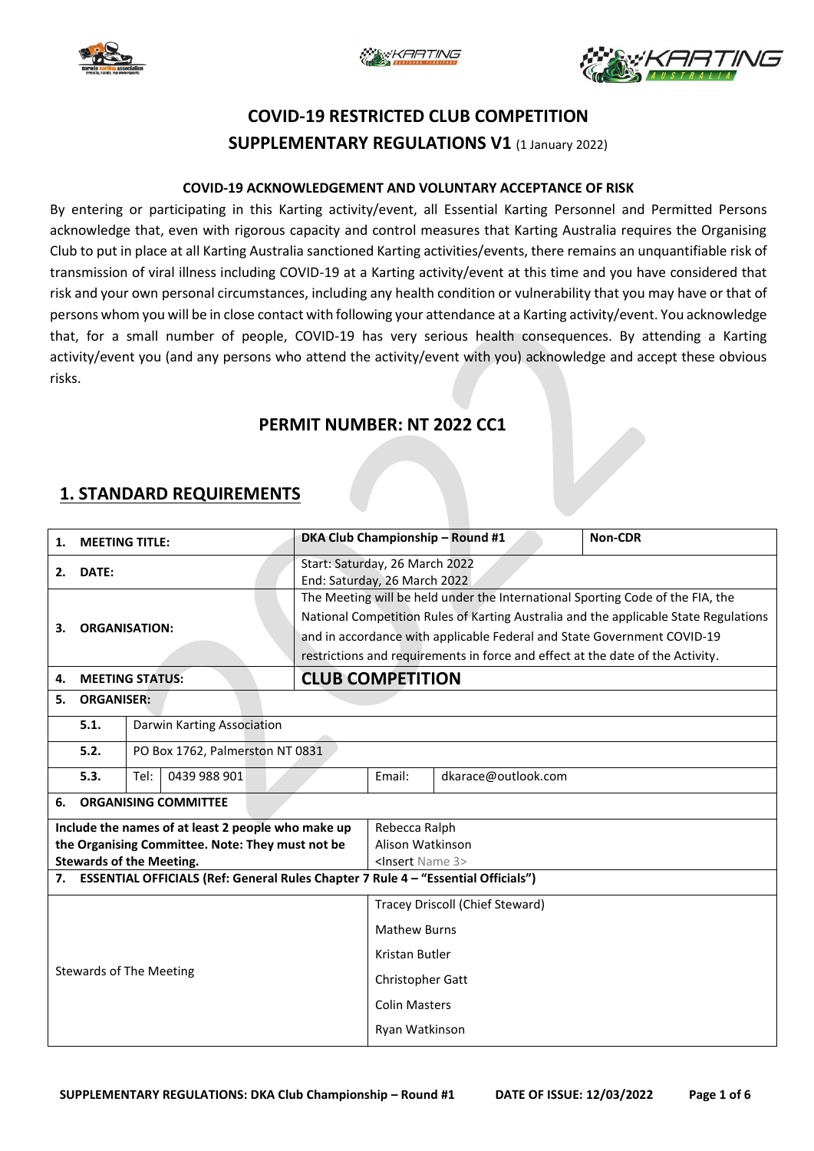





# **COVID-19 RESTRICTED CLUB COMPETITION SUPPLEMENTARY REGULATIONS V1** (1 January 2022)

#### **COVID-19 ACKNOWLEDGEMENT AND VOLUNTARY ACCEPTANCE OF RISK**

By entering or participating in this Karting activity/event, all Essential Karting Personnel and Permitted Persons acknowledge that, even with rigorous capacity and control measures that Karting Australia requires the Organising Club to put in place at all Karting Australia sanctioned Karting activities/events, there remains an unquantifiable risk of transmission of viral illness including COVID-19 at a Karting activity/event at this time and you have considered that risk and your own personal circumstances, including any health condition or vulnerability that you may have or that of persons whom you will be in close contact with following your attendance at a Karting activity/event. You acknowledge that, for a small number of people, COVID-19 has very serious health consequences. By attending a Karting activity/event you (and any persons who attend the activity/event with you) acknowledge and accept these obvious risks.

### **PERMIT NUMBER: NT 2022 CC1**

### **1. STANDARD REQUIREMENTS**

| <b>MEETING TITLE:</b><br>1.                                                          |                   |                                                                                      |                                                                                | DKA Club Championship - Round #1 | <b>Non-CDR</b>      |                                                                                |  |  |
|--------------------------------------------------------------------------------------|-------------------|--------------------------------------------------------------------------------------|--------------------------------------------------------------------------------|----------------------------------|---------------------|--------------------------------------------------------------------------------|--|--|
| DATE:<br>2.                                                                          |                   |                                                                                      | Start: Saturday, 26 March 2022<br>End: Saturday, 26 March 2022                 |                                  |                     |                                                                                |  |  |
|                                                                                      |                   |                                                                                      |                                                                                |                                  |                     | The Meeting will be held under the International Sporting Code of the FIA, the |  |  |
|                                                                                      |                   | National Competition Rules of Karting Australia and the applicable State Regulations |                                                                                |                                  |                     |                                                                                |  |  |
| <b>ORGANISATION:</b><br>3.                                                           |                   |                                                                                      | and in accordance with applicable Federal and State Government COVID-19        |                                  |                     |                                                                                |  |  |
|                                                                                      |                   |                                                                                      | restrictions and requirements in force and effect at the date of the Activity. |                                  |                     |                                                                                |  |  |
| <b>MEETING STATUS:</b><br>4.                                                         |                   |                                                                                      |                                                                                | <b>CLUB COMPETITION</b>          |                     |                                                                                |  |  |
| 5.                                                                                   | <b>ORGANISER:</b> |                                                                                      |                                                                                |                                  |                     |                                                                                |  |  |
| 5.1.                                                                                 |                   | Darwin Karting Association                                                           |                                                                                |                                  |                     |                                                                                |  |  |
| 5.2.                                                                                 |                   | PO Box 1762, Palmerston NT 0831                                                      |                                                                                |                                  |                     |                                                                                |  |  |
| 5.3.                                                                                 | Tel:              | 0439 988 901                                                                         |                                                                                | Email:                           | dkarace@outlook.com |                                                                                |  |  |
| <b>ORGANISING COMMITTEE</b><br>6.                                                    |                   |                                                                                      |                                                                                |                                  |                     |                                                                                |  |  |
| Include the names of at least 2 people who make up                                   |                   |                                                                                      | Rebecca Ralph                                                                  |                                  |                     |                                                                                |  |  |
| the Organising Committee. Note: They must not be                                     |                   |                                                                                      | Alison Watkinson                                                               |                                  |                     |                                                                                |  |  |
| <b>Stewards of the Meeting.</b>                                                      |                   |                                                                                      | <insert 3="" name=""></insert>                                                 |                                  |                     |                                                                                |  |  |
| 7. ESSENTIAL OFFICIALS (Ref: General Rules Chapter 7 Rule 4 - "Essential Officials") |                   |                                                                                      |                                                                                |                                  |                     |                                                                                |  |  |
| <b>Stewards of The Meeting</b>                                                       |                   |                                                                                      |                                                                                | Tracey Driscoll (Chief Steward)  |                     |                                                                                |  |  |
|                                                                                      |                   |                                                                                      | <b>Mathew Burns</b>                                                            |                                  |                     |                                                                                |  |  |
|                                                                                      |                   |                                                                                      | Kristan Butler                                                                 |                                  |                     |                                                                                |  |  |
|                                                                                      |                   |                                                                                      | Christopher Gatt                                                               |                                  |                     |                                                                                |  |  |
|                                                                                      |                   |                                                                                      | <b>Colin Masters</b>                                                           |                                  |                     |                                                                                |  |  |
|                                                                                      |                   |                                                                                      | Ryan Watkinson                                                                 |                                  |                     |                                                                                |  |  |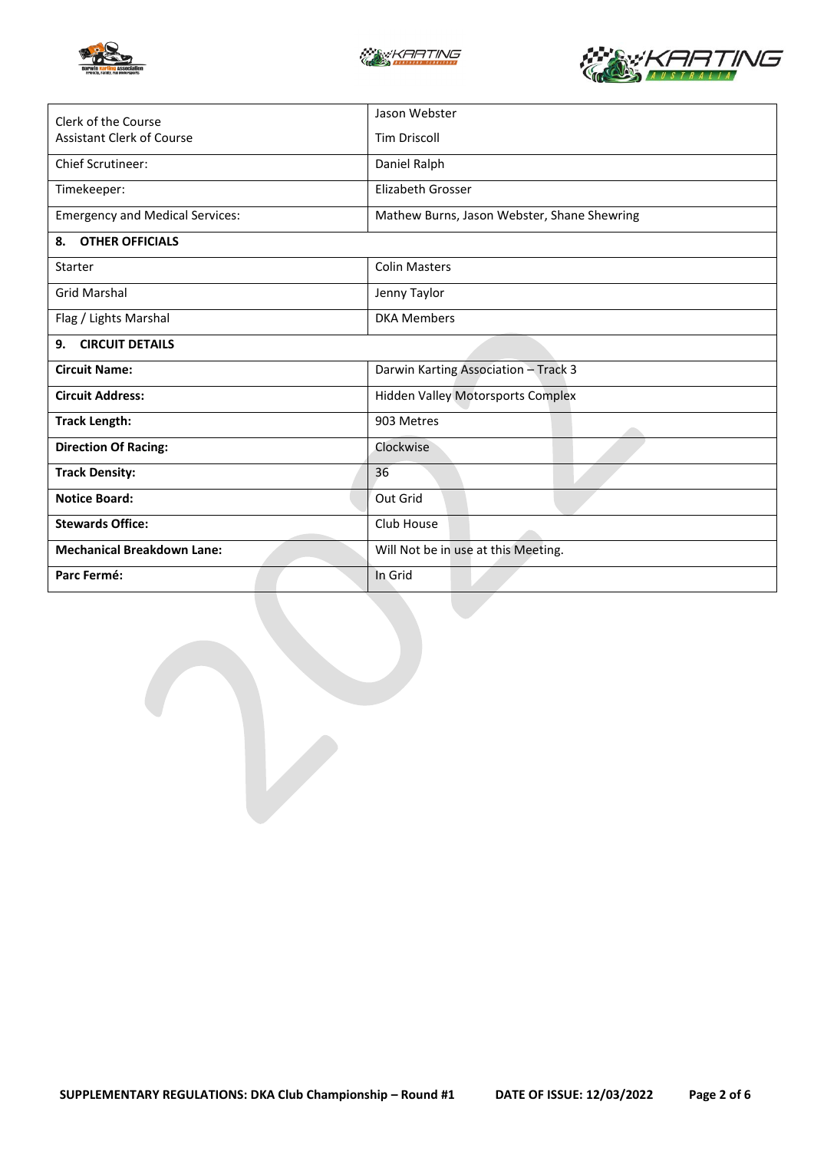





| Clerk of the Course                    | Jason Webster                               |  |  |  |
|----------------------------------------|---------------------------------------------|--|--|--|
| <b>Assistant Clerk of Course</b>       | <b>Tim Driscoll</b>                         |  |  |  |
| <b>Chief Scrutineer:</b>               | Daniel Ralph                                |  |  |  |
| Timekeeper:                            | Elizabeth Grosser                           |  |  |  |
| <b>Emergency and Medical Services:</b> | Mathew Burns, Jason Webster, Shane Shewring |  |  |  |
| <b>OTHER OFFICIALS</b><br>8.           |                                             |  |  |  |
| <b>Starter</b>                         | <b>Colin Masters</b>                        |  |  |  |
| <b>Grid Marshal</b>                    | Jenny Taylor                                |  |  |  |
| Flag / Lights Marshal                  | <b>DKA Members</b>                          |  |  |  |
| <b>CIRCUIT DETAILS</b><br>9.           |                                             |  |  |  |
| <b>Circuit Name:</b>                   | Darwin Karting Association - Track 3        |  |  |  |
| <b>Circuit Address:</b>                | <b>Hidden Valley Motorsports Complex</b>    |  |  |  |
| <b>Track Length:</b>                   | 903 Metres                                  |  |  |  |
| <b>Direction Of Racing:</b>            | Clockwise                                   |  |  |  |
| <b>Track Density:</b>                  | 36                                          |  |  |  |
| <b>Notice Board:</b>                   | Out Grid                                    |  |  |  |
| <b>Stewards Office:</b>                | Club House                                  |  |  |  |
| <b>Mechanical Breakdown Lane:</b>      | Will Not be in use at this Meeting.         |  |  |  |
| Parc Fermé:                            | In Grid                                     |  |  |  |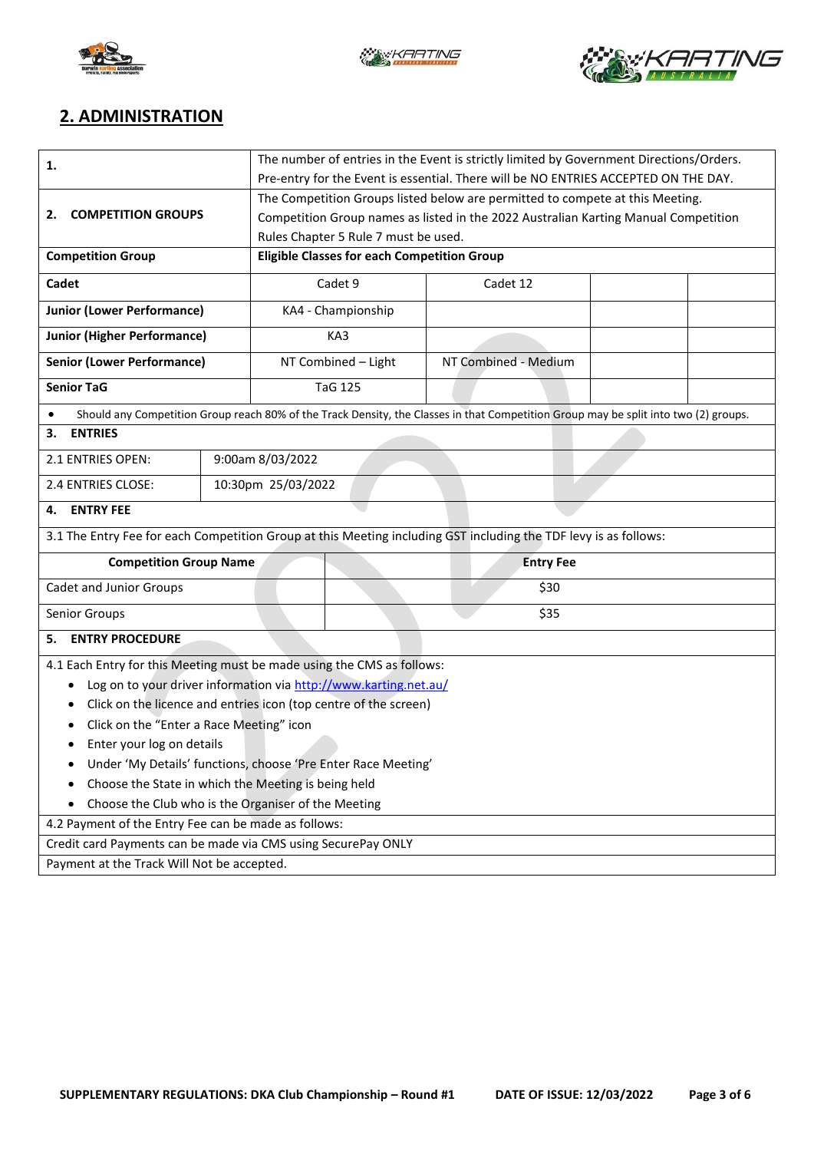





## **2. ADMINISTRATION**

| 1.                                                                                                               |                                                                                     | The number of entries in the Event is strictly limited by Government Directions/Orders. |                                                                                     |                                                                                                                                      |  |  |  |
|------------------------------------------------------------------------------------------------------------------|-------------------------------------------------------------------------------------|-----------------------------------------------------------------------------------------|-------------------------------------------------------------------------------------|--------------------------------------------------------------------------------------------------------------------------------------|--|--|--|
|                                                                                                                  | Pre-entry for the Event is essential. There will be NO ENTRIES ACCEPTED ON THE DAY. |                                                                                         |                                                                                     |                                                                                                                                      |  |  |  |
|                                                                                                                  |                                                                                     | The Competition Groups listed below are permitted to compete at this Meeting.           |                                                                                     |                                                                                                                                      |  |  |  |
| <b>COMPETITION GROUPS</b><br>2.                                                                                  |                                                                                     |                                                                                         | Competition Group names as listed in the 2022 Australian Karting Manual Competition |                                                                                                                                      |  |  |  |
|                                                                                                                  |                                                                                     |                                                                                         |                                                                                     | Rules Chapter 5 Rule 7 must be used.                                                                                                 |  |  |  |
| <b>Competition Group</b>                                                                                         |                                                                                     | <b>Eligible Classes for each Competition Group</b>                                      |                                                                                     |                                                                                                                                      |  |  |  |
| Cadet                                                                                                            |                                                                                     | Cadet 9                                                                                 |                                                                                     | Cadet 12                                                                                                                             |  |  |  |
| <b>Junior (Lower Performance)</b>                                                                                |                                                                                     |                                                                                         | KA4 - Championship                                                                  |                                                                                                                                      |  |  |  |
| <b>Junior (Higher Performance)</b>                                                                               |                                                                                     | KA3                                                                                     |                                                                                     |                                                                                                                                      |  |  |  |
| <b>Senior (Lower Performance)</b>                                                                                |                                                                                     | NT Combined - Light                                                                     |                                                                                     | NT Combined - Medium                                                                                                                 |  |  |  |
| <b>Senior TaG</b>                                                                                                |                                                                                     |                                                                                         | <b>TaG 125</b>                                                                      |                                                                                                                                      |  |  |  |
|                                                                                                                  |                                                                                     |                                                                                         |                                                                                     | Should any Competition Group reach 80% of the Track Density, the Classes in that Competition Group may be split into two (2) groups. |  |  |  |
| <b>ENTRIES</b><br>3.                                                                                             |                                                                                     |                                                                                         |                                                                                     |                                                                                                                                      |  |  |  |
| 2.1 ENTRIES OPEN:                                                                                                | 9:00am 8/03/2022                                                                    |                                                                                         |                                                                                     |                                                                                                                                      |  |  |  |
| 2.4 ENTRIES CLOSE:                                                                                               | 10:30pm 25/03/2022                                                                  |                                                                                         |                                                                                     |                                                                                                                                      |  |  |  |
| <b>ENTRY FEE</b><br>4.                                                                                           |                                                                                     |                                                                                         |                                                                                     |                                                                                                                                      |  |  |  |
| 3.1 The Entry Fee for each Competition Group at this Meeting including GST including the TDF levy is as follows: |                                                                                     |                                                                                         |                                                                                     |                                                                                                                                      |  |  |  |
| <b>Competition Group Name</b>                                                                                    |                                                                                     |                                                                                         | <b>Entry Fee</b>                                                                    |                                                                                                                                      |  |  |  |
| Cadet and Junior Groups                                                                                          | \$30                                                                                |                                                                                         |                                                                                     |                                                                                                                                      |  |  |  |
| Senior Groups                                                                                                    |                                                                                     |                                                                                         | \$35                                                                                |                                                                                                                                      |  |  |  |
| <b>ENTRY PROCEDURE</b><br>5.                                                                                     |                                                                                     |                                                                                         |                                                                                     |                                                                                                                                      |  |  |  |
|                                                                                                                  | 4.1 Each Entry for this Meeting must be made using the CMS as follows:              |                                                                                         |                                                                                     |                                                                                                                                      |  |  |  |
| Log on to your driver information via http://www.karting.net.au/<br>٠                                            |                                                                                     |                                                                                         |                                                                                     |                                                                                                                                      |  |  |  |
| Click on the licence and entries icon (top centre of the screen)<br>٠                                            |                                                                                     |                                                                                         |                                                                                     |                                                                                                                                      |  |  |  |
| Click on the "Enter a Race Meeting" icon<br>٠                                                                    |                                                                                     |                                                                                         |                                                                                     |                                                                                                                                      |  |  |  |
| Enter your log on details                                                                                        |                                                                                     |                                                                                         |                                                                                     |                                                                                                                                      |  |  |  |
| Under 'My Details' functions, choose 'Pre Enter Race Meeting'                                                    |                                                                                     |                                                                                         |                                                                                     |                                                                                                                                      |  |  |  |
| Choose the State in which the Meeting is being held<br>٠                                                         |                                                                                     |                                                                                         |                                                                                     |                                                                                                                                      |  |  |  |
| Choose the Club who is the Organiser of the Meeting                                                              |                                                                                     |                                                                                         |                                                                                     |                                                                                                                                      |  |  |  |
| 4.2 Payment of the Entry Fee can be made as follows:                                                             |                                                                                     |                                                                                         |                                                                                     |                                                                                                                                      |  |  |  |
| Credit card Payments can be made via CMS using SecurePay ONLY                                                    |                                                                                     |                                                                                         |                                                                                     |                                                                                                                                      |  |  |  |
| Payment at the Track Will Not be accepted.                                                                       |                                                                                     |                                                                                         |                                                                                     |                                                                                                                                      |  |  |  |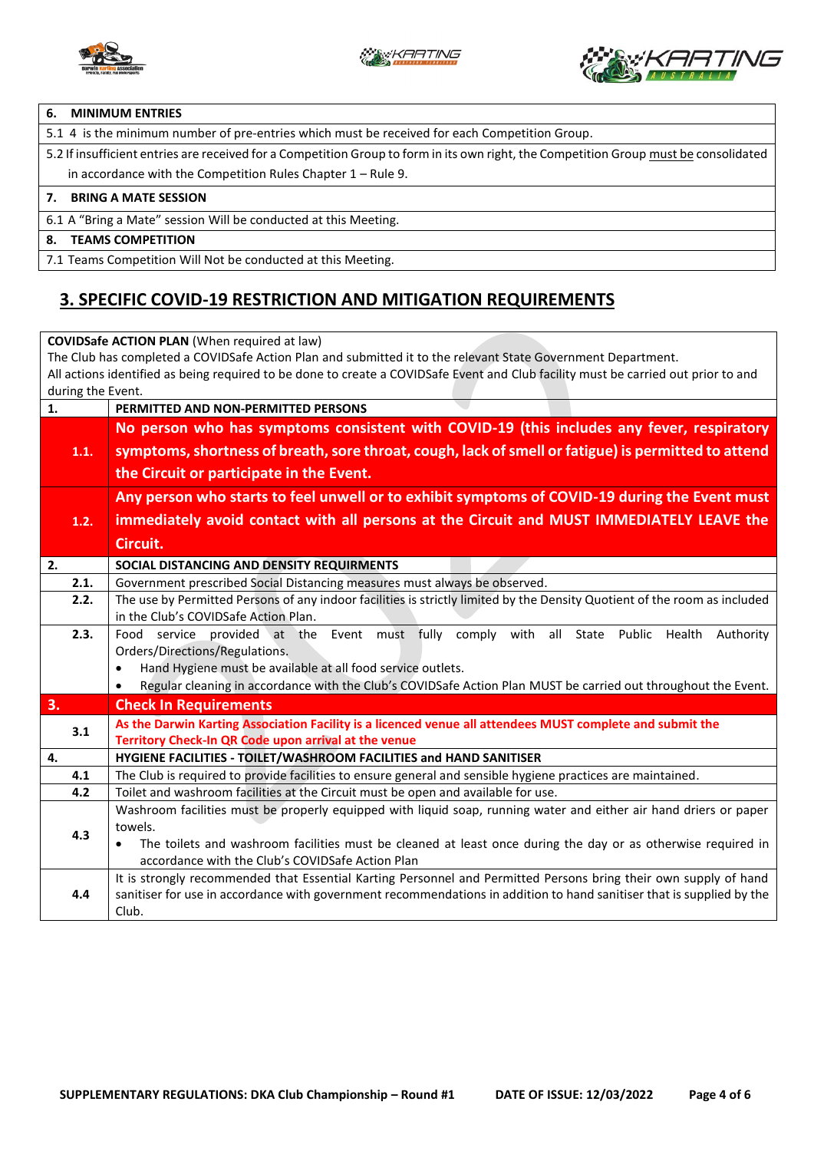



#### **6. MINIMUM ENTRIES**

5.1 4 is the minimum number of pre-entries which must be received for each Competition Group.

5.2 If insufficient entries are received for a Competition Group to form in its own right, the Competition Group must be consolidated in accordance with the Competition Rules Chapter 1 – Rule 9.

#### **7. BRING A MATE SESSION**

6.1 A "Bring a Mate" session Will be conducted at this Meeting.

#### **8. TEAMS COMPETITION**

7.1 Teams Competition Will Not be conducted at this Meeting.

### **3. SPECIFIC COVID-19 RESTRICTION AND MITIGATION REQUIREMENTS**

**COVIDSafe ACTION PLAN** (When required at law) The Club has completed a COVIDSafe Action Plan and submitted it to the relevant State Government Department. All actions identified as being required to be done to create a COVIDSafe Event and Club facility must be carried out prior to and during the Event. **1. PERMITTED AND NON-PERMITTED PERSONS 1.1. No person who has symptoms consistent with COVID-19 (this includes any fever, respiratory symptoms, shortness of breath, sore throat, cough, lack of smell or fatigue) is permitted to attend the Circuit or participate in the Event. 1.2. Any person who starts to feel unwell or to exhibit symptoms of COVID-19 during the Event must immediately avoid contact with all persons at the Circuit and MUST IMMEDIATELY LEAVE the Circuit. 2. SOCIAL DISTANCING AND DENSITY REQUIRMENTS**  2.1. Government prescribed Social Distancing measures must always be observed. **2.2.** The use by Permitted Persons of any indoor facilities is strictly limited by the Density Quotient of the room as included in the Club's COVIDSafe Action Plan. **2.3.** Food service provided at the Event must fully comply with all State Public Health Authority Orders/Directions/Regulations. • Hand Hygiene must be available at all food service outlets. • Regular cleaning in accordance with the Club's COVIDSafe Action Plan MUST be carried out throughout the Event. **3. Check In Requirements 3.1 As the Darwin Karting Association Facility is a licenced venue all attendees MUST complete and submit the Territory Check-In QR Code upon arrival at the venue 4. HYGIENE FACILITIES - TOILET/WASHROOM FACILITIES and HAND SANITISER 4.1** The Club is required to provide facilities to ensure general and sensible hygiene practices are maintained. **4.2** Toilet and washroom facilities at the Circuit must be open and available for use. **4.3** Washroom facilities must be properly equipped with liquid soap, running water and either air hand driers or paper towels. • The toilets and washroom facilities must be cleaned at least once during the day or as otherwise required in accordance with the Club's COVIDSafe Action Plan **4.4** It is strongly recommended that Essential Karting Personnel and Permitted Persons bring their own supply of hand sanitiser for use in accordance with government recommendations in addition to hand sanitiser that is supplied by the Club.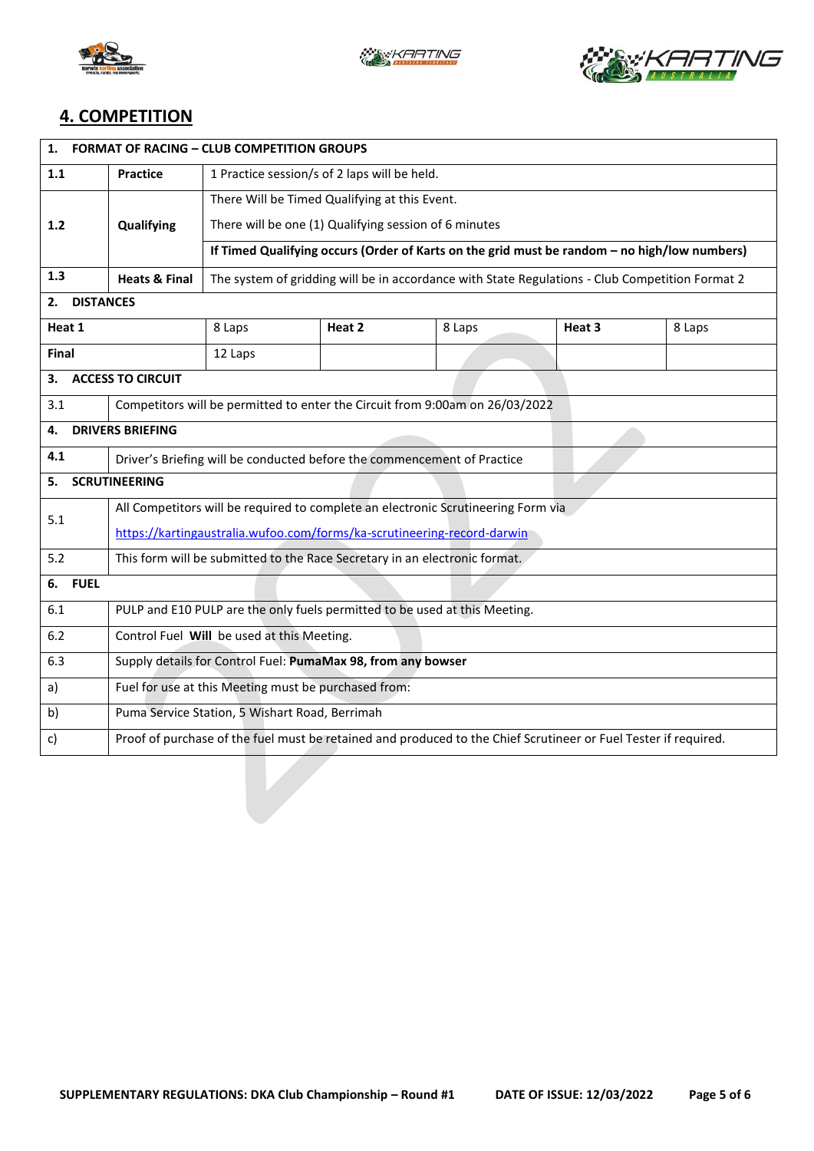





## **4. COMPETITION**

| 1.<br><b>FORMAT OF RACING - CLUB COMPETITION GROUPS</b> |                                                                                                                 |                                                                                                 |        |        |        |        |  |  |
|---------------------------------------------------------|-----------------------------------------------------------------------------------------------------------------|-------------------------------------------------------------------------------------------------|--------|--------|--------|--------|--|--|
| 1.1                                                     | <b>Practice</b>                                                                                                 | 1 Practice session/s of 2 laps will be held.                                                    |        |        |        |        |  |  |
|                                                         |                                                                                                                 | There Will be Timed Qualifying at this Event.                                                   |        |        |        |        |  |  |
| 1.2                                                     | Qualifying                                                                                                      | There will be one (1) Qualifying session of 6 minutes                                           |        |        |        |        |  |  |
|                                                         |                                                                                                                 | If Timed Qualifying occurs (Order of Karts on the grid must be random - no high/low numbers)    |        |        |        |        |  |  |
| 1.3                                                     | <b>Heats &amp; Final</b>                                                                                        | The system of gridding will be in accordance with State Regulations - Club Competition Format 2 |        |        |        |        |  |  |
| <b>DISTANCES</b><br>2.                                  |                                                                                                                 |                                                                                                 |        |        |        |        |  |  |
| Heat 1                                                  |                                                                                                                 | 8 Laps                                                                                          | Heat 2 | 8 Laps | Heat 3 | 8 Laps |  |  |
| <b>Final</b>                                            |                                                                                                                 | 12 Laps                                                                                         |        |        |        |        |  |  |
| 3.                                                      | <b>ACCESS TO CIRCUIT</b>                                                                                        |                                                                                                 |        |        |        |        |  |  |
| 3.1                                                     |                                                                                                                 | Competitors will be permitted to enter the Circuit from 9:00am on 26/03/2022                    |        |        |        |        |  |  |
| <b>DRIVERS BRIEFING</b><br>4.                           |                                                                                                                 |                                                                                                 |        |        |        |        |  |  |
| 4.1                                                     | Driver's Briefing will be conducted before the commencement of Practice                                         |                                                                                                 |        |        |        |        |  |  |
| <b>SCRUTINEERING</b><br>5.                              |                                                                                                                 |                                                                                                 |        |        |        |        |  |  |
| 5.1                                                     | All Competitors will be required to complete an electronic Scrutineering Form via                               |                                                                                                 |        |        |        |        |  |  |
|                                                         | https://kartingaustralia.wufoo.com/forms/ka-scrutineering-record-darwin                                         |                                                                                                 |        |        |        |        |  |  |
| 5.2                                                     | This form will be submitted to the Race Secretary in an electronic format.                                      |                                                                                                 |        |        |        |        |  |  |
| <b>FUEL</b><br>6.                                       |                                                                                                                 |                                                                                                 |        |        |        |        |  |  |
| 6.1                                                     | PULP and E10 PULP are the only fuels permitted to be used at this Meeting.                                      |                                                                                                 |        |        |        |        |  |  |
| 6.2                                                     | Control Fuel Will be used at this Meeting.                                                                      |                                                                                                 |        |        |        |        |  |  |
| 6.3                                                     | Supply details for Control Fuel: PumaMax 98, from any bowser                                                    |                                                                                                 |        |        |        |        |  |  |
| a)                                                      |                                                                                                                 | Fuel for use at this Meeting must be purchased from:                                            |        |        |        |        |  |  |
| b)                                                      | Puma Service Station, 5 Wishart Road, Berrimah                                                                  |                                                                                                 |        |        |        |        |  |  |
| c)                                                      | Proof of purchase of the fuel must be retained and produced to the Chief Scrutineer or Fuel Tester if required. |                                                                                                 |        |        |        |        |  |  |